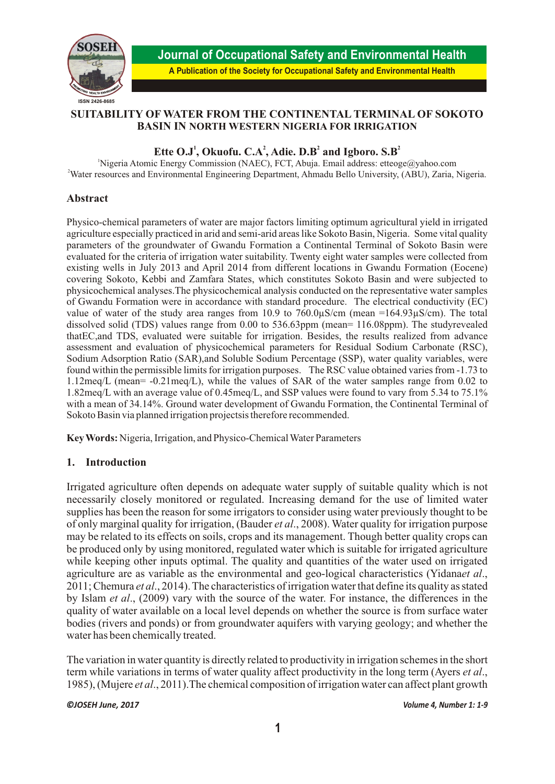

**Journal of Occupational Safety and Environmental Health A Publication of the Society for Occupational Safety and Environmental Health**

## **SUITABILITY OF WATER FROM THE CONTINENTAL TERMINAL OF SOKOTO BASIN IN NORTH WESTERN NIGERIA FOR IRRIGATION**

# Ette  $O.J^1$ , Okuofu.  $C.A^2$ , Adie.  $D.B^2$  and Igboro.  $S.B^2$

<sup>1</sup>Nigeria Atomic Energy Commission (NAEC), FCT, Abuja. Email address: etteoge@yahoo.com <sup>2</sup>Water resources and Environmental Engineering Department, Ahmadu Bello University, (ABU), Zaria, Nigeria.

### **Abstract**

Physico-chemical parameters of water are major factors limiting optimum agricultural yield in irrigated agriculture especially practiced in arid and semi-arid areas like Sokoto Basin, Nigeria. Some vital quality parameters of the groundwater of Gwandu Formation a Continental Terminal of Sokoto Basin were evaluated for the criteria of irrigation water suitability. Twenty eight water samples were collected from existing wells in July 2013 and April 2014 from different locations in Gwandu Formation (Eocene) covering Sokoto, Kebbi and Zamfara States, which constitutes Sokoto Basin and were subjected to physicochemical analyses.The physicochemical analysis conducted on the representative water samples of Gwandu Formation were in accordance with standard procedure. The electrical conductivity (EC) value of water of the study area ranges from 10.9 to  $760.0\mu$ S/cm (mean =164.93 $\mu$ S/cm). The total dissolved solid (TDS) values range from 0.00 to 536.63ppm (mean= 116.08ppm). The studyrevealed thatEC,and TDS, evaluated were suitable for irrigation. Besides, the results realized from advance assessment and evaluation of physicochemical parameters for Residual Sodium Carbonate (RSC), Sodium Adsorption Ratio (SAR),and Soluble Sodium Percentage (SSP), water quality variables, were found within the permissible limits for irrigation purposes. The RSC value obtained varies from -1.73 to 1.12meq/L (mean= -0.21meq/L), while the values of SAR of the water samples range from 0.02 to 1.82meq/L with an average value of 0.45meq/L, and SSP values were found to vary from 5.34 to 75.1% with a mean of 34.14%. Ground water development of Gwandu Formation, the Continental Terminal of Sokoto Basin via planned irrigation projectsis therefore recommended.

**Key Words:** Nigeria, Irrigation, and Physico-Chemical Water Parameters

### **1. Introduction**

Irrigated agriculture often depends on adequate water supply of suitable quality which is not necessarily closely monitored or regulated. Increasing demand for the use of limited water supplies has been the reason for some irrigators to consider using water previously thought to be of only marginal quality for irrigation, (Bauder *et al*., 2008). Water quality for irrigation purpose may be related to its effects on soils, crops and its management. Though better quality crops can be produced only by using monitored, regulated water which is suitable for irrigated agriculture while keeping other inputs optimal. The quality and quantities of the water used on irrigated agriculture are as variable as the environmental and geo-logical characteristics (Yidana*et al*., 2011; Chemura *et al*., 2014). The characteristics of irrigation water that define its quality as stated by Islam *et al*., (2009) vary with the source of the water. For instance, the differences in the quality of water available on a local level depends on whether the source is from surface water bodies (rivers and ponds) or from groundwater aquifers with varying geology; and whether the water has been chemically treated.

The variation in water quantity is directly related to productivity in irrigation schemes in the short term while variations in terms of water quality affect productivity in the long term (Ayers *et al*., 1985), (Mujere *et al*., 2011).The chemical composition of irrigation water can affect plant growth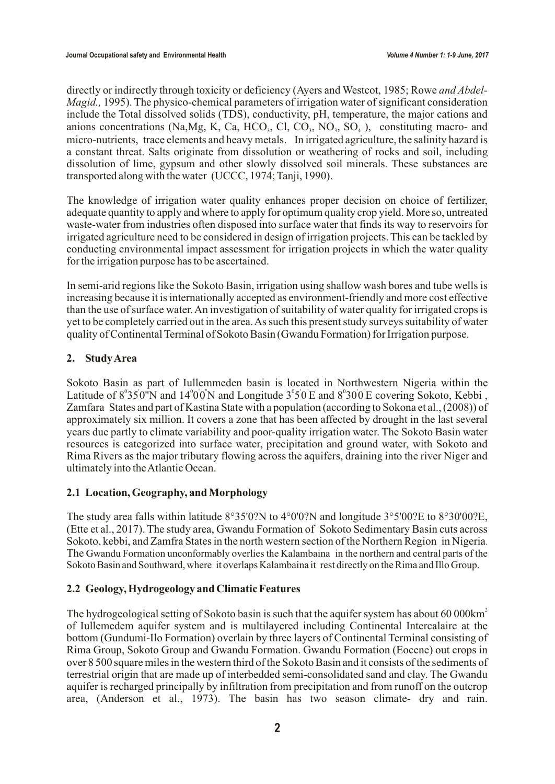directly or indirectly through toxicity or deficiency (Ayers and Westcot, 1985; Rowe *and Abdel-Magid.,* 1995). The physico-chemical parameters of irrigation water of significant consideration include the Total dissolved solids (TDS), conductivity, pH, temperature, the major cations and anions concentrations (Na, Mg, K, Ca, HCO<sub>3</sub>, Cl, CO<sub>3</sub>, NO<sub>3</sub>, SO<sub>4</sub>), constituting macro- and micro-nutrients, trace elements and heavy metals. In irrigated agriculture, the salinity hazard is a constant threat. Salts originate from dissolution or weathering of rocks and soil, including dissolution of lime, gypsum and other slowly dissolved soil minerals. These substances are transported along with the water (UCCC, 1974; Tanji, 1990).

The knowledge of irrigation water quality enhances proper decision on choice of fertilizer, adequate quantity to apply and where to apply for optimum quality crop yield. More so, untreated waste-water from industries often disposed into surface water that finds its way to reservoirs for irrigated agriculture need to be considered in design of irrigation projects. This can be tackled by conducting environmental impact assessment for irrigation projects in which the water quality for the irrigation purpose has to be ascertained.

In semi-arid regions like the Sokoto Basin, irrigation using shallow wash bores and tube wells is increasing because it is internationally accepted as environment-friendly and more cost effective than the use of surface water. An investigation of suitability of water quality for irrigated crops is yet to be completely carried out in the area. As such this present study surveys suitability of water quality of Continental Terminal of Sokoto Basin (Gwandu Formation) for Irrigation purpose.

# **2. Study Area**

Sokoto Basin as part of Iullemmeden basin is located in Northwestern Nigeria within the Latitude of  $8^{\circ}350^{\circ}$ N and  $14^{\circ}00^{\circ}$ N and Longitude  $3^{\circ}50^{\circ}$ E and  $8^{\circ}300^{\circ}$ E covering Sokoto, Kebbi, Zamfara States and part of Kastina State with a population (according to Sokona et al., (2008)) of approximately six million. It covers a zone that has been affected by drought in the last several years due partly to climate variability and poor-quality irrigation water. The Sokoto Basin water resources is categorized into surface water, precipitation and ground water, with Sokoto and Rima Rivers as the major tributary flowing across the aquifers, draining into the river Niger and ultimately into the Atlantic Ocean.

### **2.1 Location, Geography, and Morphology**

The study area falls within latitude 8°35'0?N to 4°0'0?N and longitude 3°5'00?E to 8°30'00?E, (Ette et al., 2017). The study area, Gwandu Formation of Sokoto Sedimentary Basin cuts across Sokoto, kebbi, and Zamfra States in the north western section of the Northern Region in Nigeria. The Gwandu Formation unconformably overlies the Kalambaina in the northern and central parts of the Sokoto Basin and Southward, where it overlaps Kalambaina it rest directly on the Rima and Illo Group.

### **2.2 Geology, Hydrogeology and Climatic Features**

The hydrogeological setting of Sokoto basin is such that the aquifer system has about 60 000km<sup>2</sup> of Iullemedem aquifer system and is multilayered including Continental Intercalaire at the bottom (Gundumi-Ilo Formation) overlain by three layers of Continental Terminal consisting of Rima Group, Sokoto Group and Gwandu Formation. Gwandu Formation (Eocene) out crops in over 8 500 square miles in the western third of the Sokoto Basin and it consists of the sediments of terrestrial origin that are made up of interbedded semi-consolidated sand and clay. The Gwandu aquifer is recharged principally by infiltration from precipitation and from runoff on the outcrop area, (Anderson et al., 1973). The basin has two season climate- dry and rain.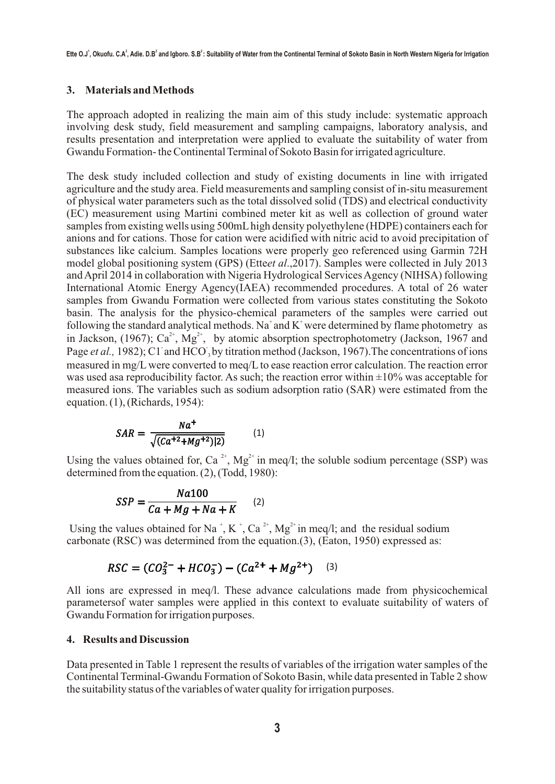### **3. Materials and Methods**

The approach adopted in realizing the main aim of this study include: systematic approach involving desk study, field measurement and sampling campaigns, laboratory analysis, and results presentation and interpretation were applied to evaluate the suitability of water from Gwandu Formation- the Continental Terminal of Sokoto Basin for irrigated agriculture.

The desk study included collection and study of existing documents in line with irrigated agriculture and the study area. Field measurements and sampling consist of in-situ measurement of physical water parameters such as the total dissolved solid (TDS) and electrical conductivity (EC) measurement using Martini combined meter kit as well as collection of ground water samples from existing wells using 500mL high density polyethylene (HDPE) containers each for anions and for cations. Those for cation were acidified with nitric acid to avoid precipitation of substances like calcium. Samples locations were properly geo referenced using Garmin 72H model global positioning system (GPS) (Ette*et al*.,2017). Samples were collected in July 2013 and April 2014 in collaboration with Nigeria Hydrological Services Agency (NIHSA) following International Atomic Energy Agency(IAEA) recommended procedures. A total of 26 water samples from Gwandu Formation were collected from various states constituting the Sokoto basin. The analysis for the physico-chemical parameters of the samples were carried out following the standard analytical methods. Na<sup>+</sup> and K<sup>+</sup> were determined by flame photometry as in Jackson, (1967); Ca<sup>2+</sup>, Mg<sup>2+</sup>, by atomic absorption spectrophotometry (Jackson, 1967 and Page *et al.*, 1982); C1 and HCO, by titration method (Jackson, 1967). The concentrations of ions measured in mg/L were converted to meq/L to ease reaction error calculation. The reaction error was used asa reproducibility factor. As such; the reaction error within  $\pm 10\%$  was acceptable for measured ions. The variables such as sodium adsorption ratio (SAR) were estimated from the equation. (1), (Richards, 1954):

$$
SAR = \frac{Na^{+}}{\sqrt{(Ca^{+2} + Mg^{+2})|2)}}
$$
 (1)

Using the values obtained for, Ca<sup>2+</sup>, Mg<sup>2+</sup> in meq/I; the soluble sodium percentage (SSP) was determined from the equation. (2), (Todd, 1980):

$$
SSP = \frac{Na100}{Ca + Mg + Na + K} \qquad (2)
$$

Using the values obtained for Na<sup>+</sup>, K<sup>+</sup>, Ca<sup>2+</sup>, Mg<sup>2+</sup> in meq/l; and the residual sodium carbonate (RSC) was determined from the equation.(3), (Eaton, 1950) expressed as:

# $RSC = (CO_3^{2-} + HCO_3^-) - (Ca^{2+} + Mg^{2+})$  (3)

All ions are expressed in meq/l. These advance calculations made from physicochemical parametersof water samples were applied in this context to evaluate suitability of waters of Gwandu Formation for irrigation purposes.

### **4. Results and Discussion**

Data presented in Table 1 represent the results of variables of the irrigation water samples of the Continental Terminal-Gwandu Formation of Sokoto Basin, while data presented in Table 2 show the suitability status of the variables of water quality for irrigation purposes.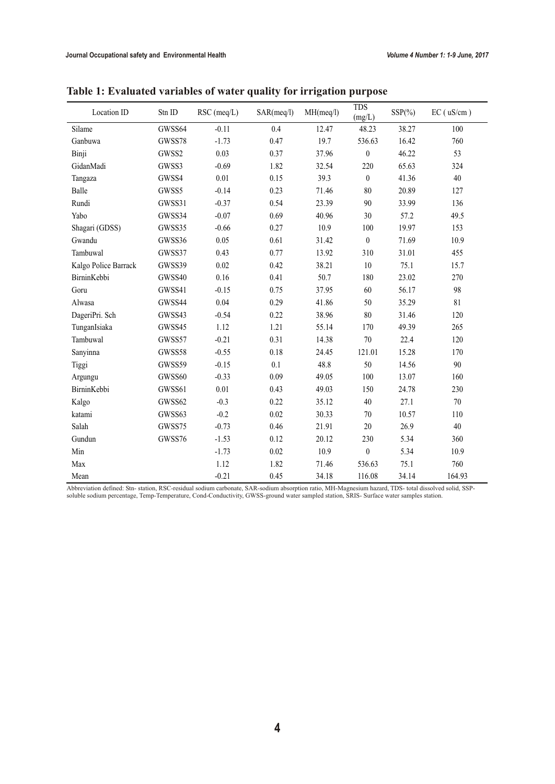| Location ID          | Stn ID | RSC (meq/L) | SAR(meq/l) | MH(meq/l) | <b>TDS</b><br>(mg/L) | $SSP(\%)$ | $EC$ ( $uS/cm$ ) |
|----------------------|--------|-------------|------------|-----------|----------------------|-----------|------------------|
| Silame               | GWSS64 | $-0.11$     | 0.4        | 12.47     | 48.23                | 38.27     | 100              |
| Ganbuwa              | GWSS78 | $-1.73$     | 0.47       | 19.7      | 536.63               | 16.42     | 760              |
| Binji                | GWSS2  | 0.03        | 0.37       | 37.96     | $\boldsymbol{0}$     | 46.22     | 53               |
| GidanMadi            | GWSS3  | $-0.69$     | 1.82       | 32.54     | 220                  | 65.63     | 324              |
| Tangaza              | GWSS4  | 0.01        | 0.15       | 39.3      | $\boldsymbol{0}$     | 41.36     | 40               |
| Balle                | GWSS5  | $-0.14$     | 0.23       | 71.46     | $80\,$               | 20.89     | 127              |
| Rundi                | GWSS31 | $-0.37$     | 0.54       | 23.39     | 90                   | 33.99     | 136              |
| Yabo                 | GWSS34 | $-0.07$     | 0.69       | 40.96     | 30                   | 57.2      | 49.5             |
| Shagari (GDSS)       | GWSS35 | $-0.66$     | 0.27       | 10.9      | 100                  | 19.97     | 153              |
| Gwandu               | GWSS36 | 0.05        | 0.61       | 31.42     | $\boldsymbol{0}$     | 71.69     | 10.9             |
| Tambuwal             | GWSS37 | 0.43        | 0.77       | 13.92     | 310                  | 31.01     | 455              |
| Kalgo Police Barrack | GWSS39 | 0.02        | 0.42       | 38.21     | 10                   | 75.1      | 15.7             |
| BirninKebbi          | GWSS40 | 0.16        | 0.41       | 50.7      | 180                  | 23.02     | 270              |
| Goru                 | GWSS41 | $-0.15$     | 0.75       | 37.95     | 60                   | 56.17     | 98               |
| Alwasa               | GWSS44 | 0.04        | 0.29       | 41.86     | 50                   | 35.29     | 81               |
| DageriPri. Sch       | GWSS43 | $-0.54$     | 0.22       | 38.96     | 80                   | 31.46     | 120              |
| TunganIsiaka         | GWSS45 | 1.12        | 1.21       | 55.14     | 170                  | 49.39     | 265              |
| Tambuwal             | GWSS57 | $-0.21$     | 0.31       | 14.38     | 70                   | 22.4      | 120              |
| Sanyinna             | GWSS58 | $-0.55$     | 0.18       | 24.45     | 121.01               | 15.28     | 170              |
| Tiggi                | GWSS59 | $-0.15$     | 0.1        | 48.8      | 50                   | 14.56     | 90               |
| Argungu              | GWSS60 | $-0.33$     | 0.09       | 49.05     | 100                  | 13.07     | 160              |
| BirninKebbi          | GWSS61 | 0.01        | 0.43       | 49.03     | 150                  | 24.78     | 230              |
| Kalgo                | GWSS62 | $-0.3$      | 0.22       | 35.12     | 40                   | 27.1      | $70\,$           |
| katami               | GWSS63 | $-0.2$      | 0.02       | 30.33     | 70                   | 10.57     | 110              |
| Salah                | GWSS75 | $-0.73$     | 0.46       | 21.91     | 20                   | 26.9      | 40               |
| Gundun               | GWSS76 | $-1.53$     | 0.12       | 20.12     | 230                  | 5.34      | 360              |
| Min                  |        | $-1.73$     | 0.02       | 10.9      | $\boldsymbol{0}$     | 5.34      | 10.9             |
| Max                  |        | 1.12        | 1.82       | 71.46     | 536.63               | 75.1      | 760              |
| Mean                 |        | $-0.21$     | 0.45       | 34.18     | 116.08               | 34.14     | 164.93           |

**Table 1: Evaluated variables of water quality for irrigation purpose**

Abbreviation defined: Stn- station, RSC-residual sodium carbonate, SAR-sodium absorption ratio, MH-Magnesium hazard, TDS- total dissolved solid, SSP-<br>soluble sodium percentage, Temp-Temperature, Cond-Conductivity, GWSS-gro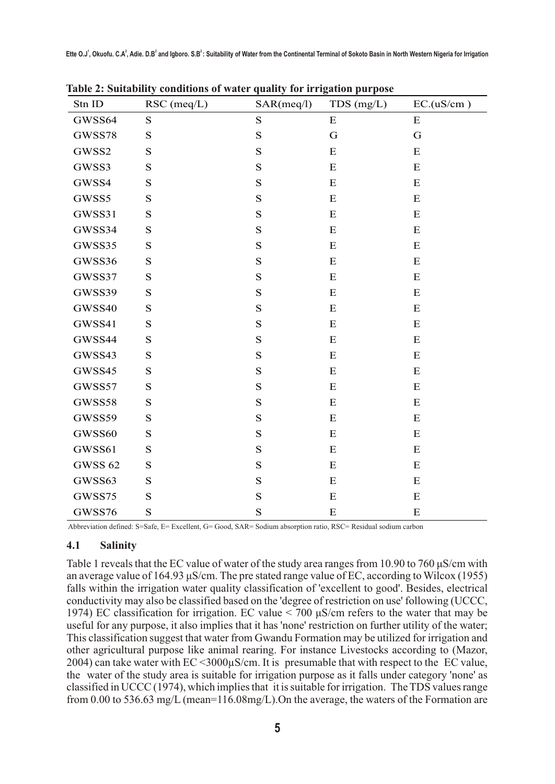| Stn ID         | $RSC$ (meq/L) | SAR(meq/l)  | $TDS$ (mg/L) | EC.(uS/cm) |
|----------------|---------------|-------------|--------------|------------|
| GWSS64         | ${\bf S}$     | ${\bf S}$   | ${\bf E}$    | ${\bf E}$  |
| GWSS78         | ${\bf S}$     | $\mathbf S$ | G            | G          |
| GWSS2          | ${\bf S}$     | S           | $\mathbf E$  | ${\bf E}$  |
| GWSS3          | S             | S           | ${\bf E}$    | ${\bf E}$  |
| GWSS4          | ${\bf S}$     | ${\bf S}$   | ${\bf E}$    | E          |
| GWSS5          | S             | S           | ${\bf E}$    | ${\bf E}$  |
| GWSS31         | $\mathbf S$   | ${\bf S}$   | ${\bf E}$    | ${\bf E}$  |
| GWSS34         | ${\bf S}$     | S           | $\mathbf E$  | ${\bf E}$  |
| GWSS35         | ${\bf S}$     | $\mathbf S$ | ${\bf E}$    | ${\bf E}$  |
| GWSS36         | ${\bf S}$     | S           | ${\bf E}$    | ${\bf E}$  |
| GWSS37         | S             | S           | ${\bf E}$    | ${\bf E}$  |
| GWSS39         | ${\bf S}$     | S           | ${\bf E}$    | E          |
| GWSS40         | S             | S           | E            | ${\bf E}$  |
| GWSS41         | ${\bf S}$     | ${\bf S}$   | ${\bf E}$    | ${\bf E}$  |
| GWSS44         | ${\bf S}$     | $\mathbf S$ | ${\bf E}$    | ${\bf E}$  |
| GWSS43         | S             | S           | $\mathbf E$  | ${\bf E}$  |
| GWSS45         | ${\bf S}$     | $\mathbf S$ | ${\bf E}$    | ${\bf E}$  |
| GWSS57         | ${\bf S}$     | S           | ${\bf E}$    | ${\bf E}$  |
| GWSS58         | ${\bf S}$     | S           | ${\bf E}$    | ${\bf E}$  |
| GWSS59         | S             | S           | ${\bf E}$    | ${\bf E}$  |
| GWSS60         | S             | S           | $\mathbf E$  | ${\bf E}$  |
| GWSS61         | ${\bf S}$     | S           | E            | E          |
| <b>GWSS 62</b> | ${\bf S}$     | ${\bf S}$   | ${\bf E}$    | ${\bf E}$  |
| GWSS63         | ${\bf S}$     | S           | ${\bf E}$    | ${\bf E}$  |
| GWSS75         | ${\bf S}$     | S           | ${\bf E}$    | ${\bf E}$  |
| GWSS76         | S             | S           | ${\bf E}$    | ${\bf E}$  |

**Table 2: Suitability conditions of water quality for irrigation purpose**

Abbreviation defined: S=Safe, E= Excellent, G= Good, SAR= Sodium absorption ratio, RSC= Residual sodium carbon

### **4.1 Salinity**

Table 1 reveals that the EC value of water of the study area ranges from 10.90 to 760  $\mu$ S/cm with an average value of 164.93  $\mu$ S/cm. The pre stated range value of EC, according to Wilcox (1955) falls within the irrigation water quality classification of 'excellent to good'. Besides, electrical conductivity may also be classified based on the 'degree of restriction on use' following (UCCC, 1974) EC classification for irrigation. EC value  $\leq$  700  $\mu$ S/cm refers to the water that may be useful for any purpose, it also implies that it has 'none' restriction on further utility of the water; This classification suggest that water from Gwandu Formation may be utilized for irrigation and other agricultural purpose like animal rearing. For instance Livestocks according to (Mazor, 2004) can take water with  $EC < 3000 \mu S/cm$ . It is presumable that with respect to the EC value, the water of the study area is suitable for irrigation purpose as it falls under category 'none' as classified in UCCC (1974), which implies that it is suitable for irrigation. The TDS values range from 0.00 to 536.63 mg/L (mean=116.08mg/L).On the average, the waters of the Formation are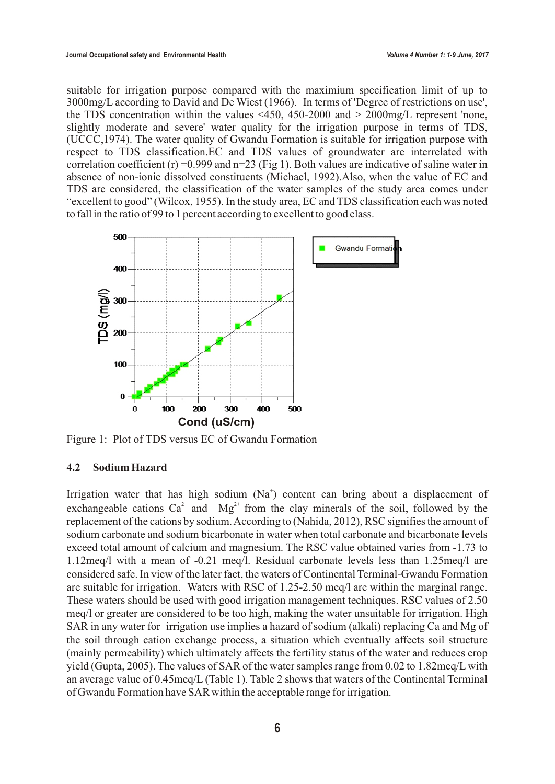suitable for irrigation purpose compared with the maximium specification limit of up to 3000mg/L according to David and De Wiest (1966). In terms of 'Degree of restrictions on use', the TDS concentration within the values  $\leq$ 450, 450-2000 and  $>$  2000mg/L represent 'none, slightly moderate and severe' water quality for the irrigation purpose in terms of TDS, (UCCC,1974). The water quality of Gwandu Formation is suitable for irrigation purpose with respect to TDS classification.EC and TDS values of groundwater are interrelated with correlation coefficient  $(r)$  =0.999 and n=23 (Fig 1). Both values are indicative of saline water in absence of non-ionic dissolved constituents (Michael, 1992).Also, when the value of EC and TDS are considered, the classification of the water samples of the study area comes under "excellent to good" (Wilcox, 1955). In the study area, EC and TDS classification each was noted to fall in the ratio of 99 to 1 percent according to excellent to good class.



Figure 1: Plot of TDS versus EC of Gwandu Formation

### **4.2 Sodium Hazard**

Irrigation water that has high sodium  $(Na^+)$  content can bring about a displacement of exchangeable cations  $Ca^{2+}$  and  $Mg^{2+}$  from the clay minerals of the soil, followed by the replacement of the cations by sodium. According to (Nahida, 2012), RSC signifies the amount of sodium carbonate and sodium bicarbonate in water when total carbonate and bicarbonate levels exceed total amount of calcium and magnesium. The RSC value obtained varies from -1.73 to 1.12meq/l with a mean of -0.21 meq/l. Residual carbonate levels less than 1.25meq/l are considered safe. In view of the later fact, the waters of Continental Terminal-Gwandu Formation are suitable for irrigation. Waters with RSC of 1.25-2.50 meq/l are within the marginal range. These waters should be used with good irrigation management techniques. RSC values of 2.50 meq/l or greater are considered to be too high, making the water unsuitable for irrigation. High SAR in any water for irrigation use implies a hazard of sodium (alkali) replacing Ca and Mg of the soil through cation exchange process, a situation which eventually affects soil structure (mainly permeability) which ultimately affects the fertility status of the water and reduces crop yield (Gupta, 2005). The values of SAR of the water samples range from 0.02 to 1.82meq/L with an average value of 0.45meq/L (Table 1). Table 2 shows that waters of the Continental Terminal of Gwandu Formation have SAR within the acceptable range for irrigation.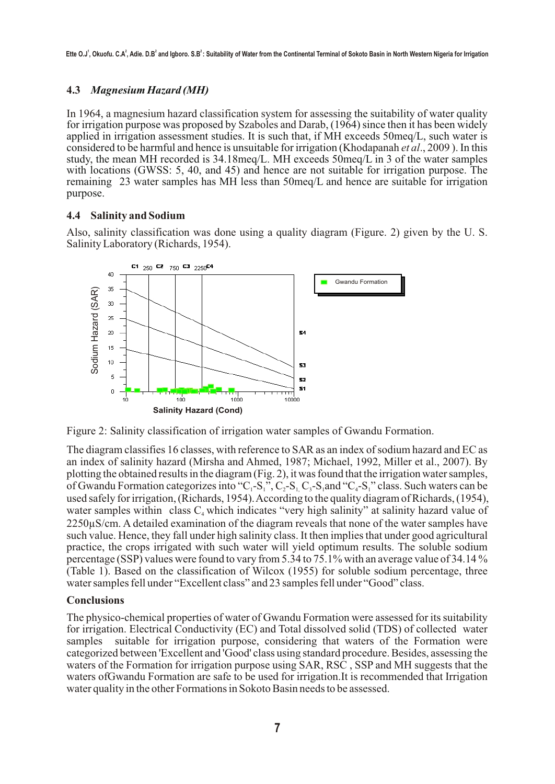# **4.3** *Magnesium Hazard (MH)*

In 1964, a magnesium hazard classification system for assessing the suitability of water quality for irrigation purpose was proposed by Szaboles and Darab, (1964) since then it has been widely considered to be harmful and hence is unsuitable for irrigation (Khodapanah et al., 2009). In this applied in irrigation assessment studies. It is such that, if MH exceeds 50meq/L, such water is study, the mean MH recorded is 34.18meq/L. MH exceeds 50meq/L in 3 of the water samples with locations (GWSS: 5, 40, and 45) and hence are not suitable for irrigation purpose. The remaining 23 water samples has MH less than 50meq/L and hence are suitable for irrigation purpose.

### **4.4 Salinity and Sodium**

Also, salinity classification was done using a quality diagram (Figure. 2) given by the U. S. Salinity Laboratory (Richards, 1954).



Figure 2: Salinity classification of irrigation water samples of Gwandu Formation.

The diagram classifies 16 classes, with reference to SAR as an index of sodium hazard and EC as an index of salinity hazard (Mirsha and Ahmed, 1987; Michael, 1992, Miller et al., 2007). By plotting the obtained results in the diagram (Fig. 2), it was found that the irrigation water samples, of Gwandu Formation categorizes into "C<sub>1</sub>-S<sub>1</sub>", C<sub>2</sub>-S<sub>1</sub> C<sub>3</sub>-S<sub>1</sub> and "C<sub>4</sub>-S<sub>1</sub>" class. Such waters can be used safely for irrigation, (Richards, 1954). According to the quality diagram of Richards, (1954), water samples within class  $C_4$  which indicates "very high salinity" at salinity hazard value of  $2250\mu$ S/cm. A detailed examination of the diagram reveals that none of the water samples have such value. Hence, they fall under high salinity class. It then implies that under good agricultural practice, the crops irrigated with such water will yield optimum results. The soluble sodium percentage (SSP) values were found to vary from 5.34 to 75.1% with an average value of 34.14 % (Table 1). Based on the classification of Wilcox (1955) for soluble sodium percentage, three water samples fell under "Excellent class" and 23 samples fell under "Good" class.

### **Conclusions**

The physico-chemical properties of water of Gwandu Formation were assessed for its suitability for irrigation. Electrical Conductivity (EC) and Total dissolved solid (TDS) of collected water samples suitable for irrigation purpose, considering that waters of the Formation were categorized between 'Excellent and 'Good' class using standard procedure. Besides, assessing the waters of the Formation for irrigation purpose using SAR, RSC , SSP and MH suggests that the waters ofGwandu Formation are safe to be used for irrigation.It is recommended that Irrigation water quality in the other Formations in Sokoto Basin needs to be assessed.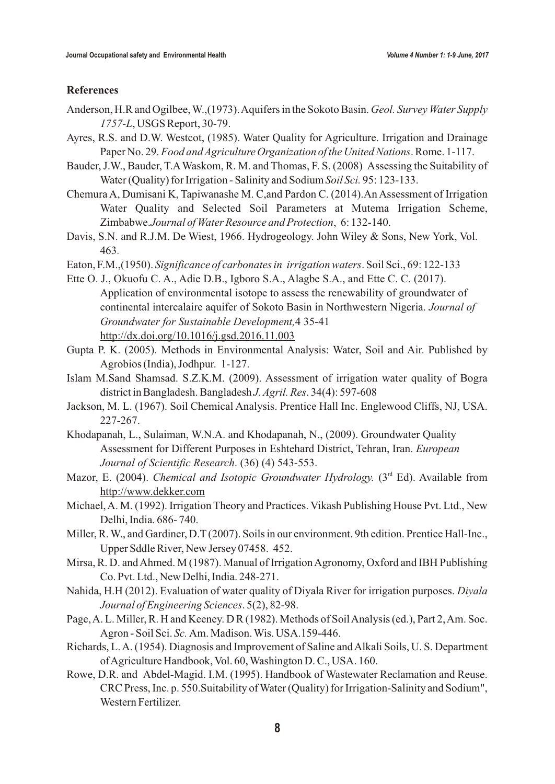### **References**

- Anderson, H.R and Ogilbee, W.,(1973). Aquifers in the Sokoto Basin. *Geol. Survey Water Supply 1757-L*, USGS Report, 30-79.
- Ayres, R.S. and D.W. Westcot, (1985). Water Quality for Agriculture. Irrigation and Drainage Paper No. 29. *Food and Agriculture Organization of the United Nations*. Rome. 1-117.
- Bauder, J.W., Bauder, T.AWaskom, R. M. and Thomas, F. S. (2008) Assessing the Suitability of Water (Quality) for Irrigation - Salinity and Sodium *Soil Sci.* 95: 123-133.
- Chemura A, Dumisani K, Tapiwanashe M. C,and Pardon C. (2014).An Assessment of Irrigation Water Quality and Selected Soil Parameters at Mutema Irrigation Scheme, Zimbabwe.*Journal of Water Resource and Protection*, 6: 132-140.
- Davis, S.N. and R.J.M. De Wiest, 1966. Hydrogeology. John Wiley & Sons, New York, Vol. 463.
- Eaton, F.M.,(1950). *Significance of carbonates in irrigation waters*. Soil Sci., 69: 122-133
- Ette O. J., Okuofu C. A., Adie D.B., Igboro S.A., Alagbe S.A., and Ette C. C. (2017). Application of environmental isotope to assess the renewability of groundwater of continental intercalaire aquifer of Sokoto Basin in Northwestern Nigeria. *Journal of Groundwater for Sustainable Development,*4 35-41 http://dx.doi.org/10.1016/j.gsd.2016.11.003
- Gupta P. K. (2005). Methods in Environmental Analysis: Water, Soil and Air. Published by Agrobios (India), Jodhpur. 1-127.
- Islam M.Sand Shamsad. S.Z.K.M. (2009). Assessment of irrigation water quality of Bogra district in Bangladesh. Bangladesh *J. Agril. Res*. 34(4): 597-608
- Jackson, M. L. (1967). Soil Chemical Analysis. Prentice Hall Inc. Englewood Cliffs, NJ, USA. 227-267.
- Khodapanah, L., Sulaiman, W.N.A. and Khodapanah, N., (2009). Groundwater Quality Assessment for Different Purposes in Eshtehard District, Tehran, Iran. *European Journal of Scientific Research*. (36) (4) 543-553.
- Mazor, E. (2004). *Chemical and Isotopic Groundwater Hydrology.* (3<sup>rd</sup> Ed). Available from http://www.dekker.com
- Michael, A. M. (1992). Irrigation Theory and Practices. Vikash Publishing House Pvt. Ltd., New Delhi, India. 686- 740.
- Miller, R. W., and Gardiner, D.T (2007). Soils in our environment. 9th edition. Prentice Hall-Inc., Upper Sddle River, New Jersey 07458. 452.
- Mirsa, R. D. and Ahmed. M (1987). Manual of Irrigation Agronomy, Oxford and IBH Publishing Co. Pvt. Ltd., New Delhi, India. 248-271.
- Nahida, H.H (2012). Evaluation of water quality of Diyala River for irrigation purposes. *Diyala Journal of Engineering Sciences*. 5(2), 82-98.
- Page, A. L. Miller, R. H and Keeney. D R (1982). Methods of Soil Analysis (ed.), Part 2, Am. Soc. Agron - Soil Sci. *Sc.* Am. Madison. Wis. USA.159-446.
- Richards, L. A. (1954). Diagnosis and Improvement of Saline and Alkali Soils, U. S. Department of Agriculture Handbook, Vol. 60, Washington D. C., USA. 160.
- Rowe, D.R. and Abdel-Magid. I.M. (1995). Handbook of Wastewater Reclamation and Reuse. CRC Press, Inc. p. 550.Suitability of Water (Quality) for Irrigation-Salinity and Sodium", Western Fertilizer.